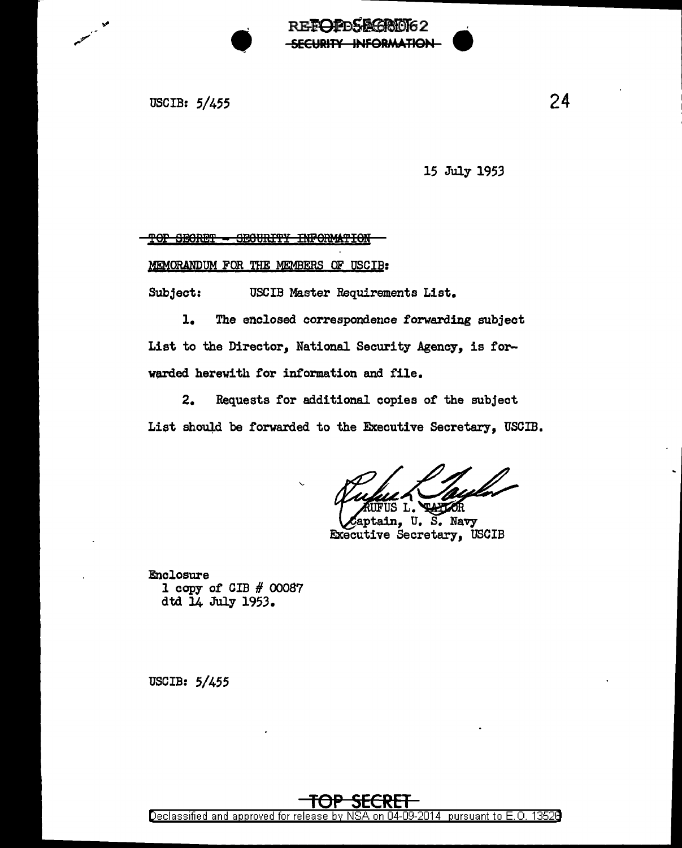REFORDSMOTHER

SECURITY INFORMATION

USCIB: 5/455

24

15 July 1953

REFORDSMOTOS2

TOP SECRET - SECURITY INFORMATION

MEMORANDUM FOR THE MEMBERS OF USCIB:

Subject: USCIB Master Requirements List.

1. The enclosed correspondence forwarding subject List to the Director, National Security Agency, is forwarded herewith for information and file.

2. Requests for additional copies of the subject List should be forwarded to the Executive Secretary, USCIB.

RUFUS L. TATIOR<br>aptain, U. S. Navy Executive Secretary, USCIB

Enclosure 1 copy of CIB # 00087 dtd 14 July 1953.

USCIB: 5/455